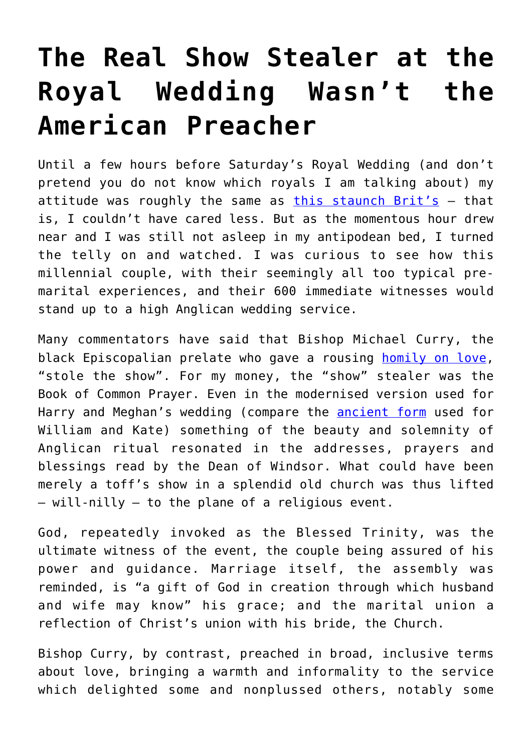## **[The Real Show Stealer at the](https://intellectualtakeout.org/2018/05/the-real-show-stealer-at-the-royal-wedding-wasnt-the-american-preacher/) [Royal Wedding Wasn't the](https://intellectualtakeout.org/2018/05/the-real-show-stealer-at-the-royal-wedding-wasnt-the-american-preacher/) [American Preacher](https://intellectualtakeout.org/2018/05/the-real-show-stealer-at-the-royal-wedding-wasnt-the-american-preacher/)**

Until a few hours before Saturday's Royal Wedding (and don't pretend you do not know which royals I am talking about) my attitude was roughly the same as [this staunch Brit's](https://www.conservativewoman.co.uk/am-i-alone-in-not-giving-a-stuff-about-the-wedding/) – that is, I couldn't have cared less. But as the momentous hour drew near and I was still not asleep in my antipodean bed, I turned the telly on and watched. I was curious to see how this millennial couple, with their seemingly all too typical premarital experiences, and their 600 immediate witnesses would stand up to a high Anglican wedding service.

Many commentators have said that Bishop Michael Curry, the black Episcopalian prelate who gave a rousing [homily on love,](https://www.npr.org/sections/thetwo-way/2018/05/20/612798691/bishop-michael-currys-royal-wedding-sermon-full-text-of-the-power-of-love) "stole the show". For my money, the "show" stealer was the Book of Common Prayer. Even in the modernised version used for Harry and Meghan's wedding (compare the **ancient form** used for William and Kate) something of the beauty and solemnity of Anglican ritual resonated in the addresses, prayers and blessings read by the Dean of Windsor. What could have been merely a toff's show in a splendid old church was thus lifted – will-nilly – to the plane of a religious event.

God, repeatedly invoked as the Blessed Trinity, was the ultimate witness of the event, the couple being assured of his power and guidance. Marriage itself, the assembly was reminded, is "a gift of God in creation through which husband and wife may know" his grace; and the marital union a reflection of Christ's union with his bride, the Church.

Bishop Curry, by contrast, preached in broad, inclusive terms about love, bringing a warmth and informality to the service which delighted some and nonplussed others, notably some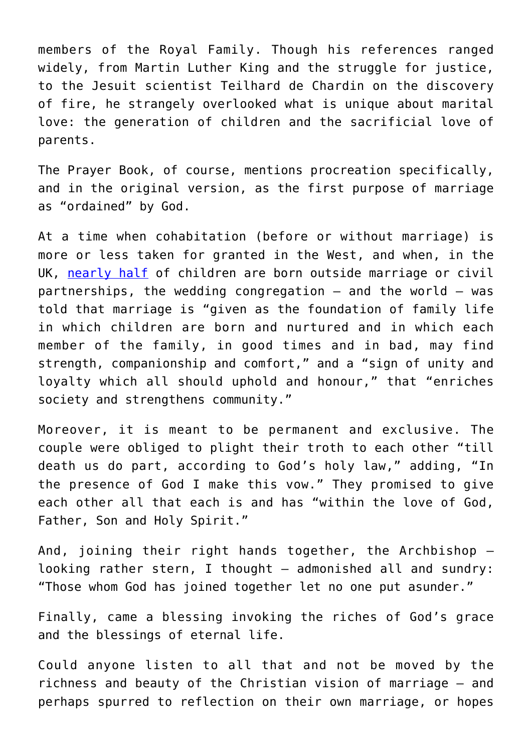members of the Royal Family. Though his references ranged widely, from Martin Luther King and the struggle for justice, to the Jesuit scientist Teilhard de Chardin on the discovery of fire, he strangely overlooked what is unique about marital love: the generation of children and the sacrificial love of parents.

The Prayer Book, of course, mentions procreation specifically, and in the original version, as the first purpose of marriage as "ordained" by God.

At a time when cohabitation (before or without marriage) is more or less taken for granted in the West, and when, in the UK, [nearly half](https://bit.ly/2GEejUs) of children are born outside marriage or civil partnerships, the wedding congregation  $-$  and the world  $-$  was told that marriage is "given as the foundation of family life in which children are born and nurtured and in which each member of the family, in good times and in bad, may find strength, companionship and comfort," and a "sign of unity and loyalty which all should uphold and honour," that "enriches society and strengthens community."

Moreover, it is meant to be permanent and exclusive. The couple were obliged to plight their troth to each other "till death us do part, according to God's holy law," adding, "In the presence of God I make this vow." They promised to give each other all that each is and has "within the love of God, Father, Son and Holy Spirit."

And, joining their right hands together, the Archbishop – looking rather stern, I thought — admonished all and sundry: "Those whom God has joined together let no one put asunder."

Finally, came a blessing invoking the riches of God's grace and the blessings of eternal life.

Could anyone listen to all that and not be moved by the richness and beauty of the Christian vision of marriage – and perhaps spurred to reflection on their own marriage, or hopes